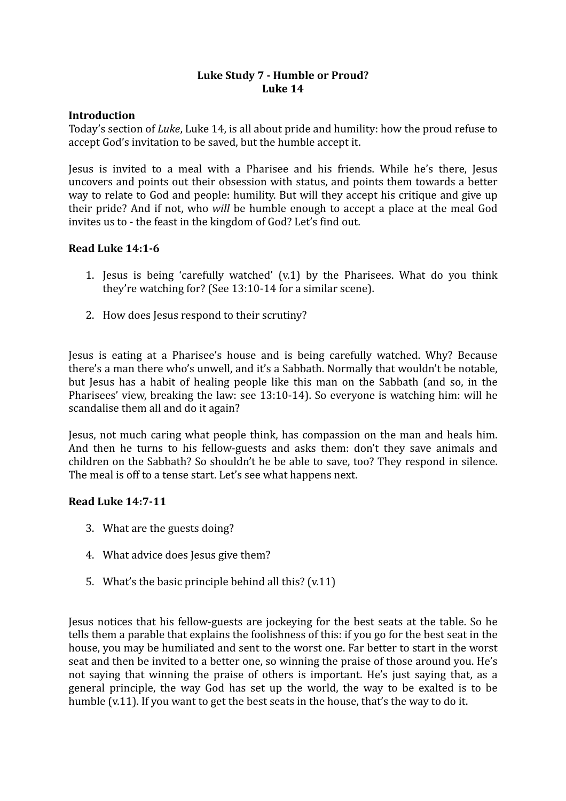## Luke Study 7 - Humble or Proud? **Luke 14**

#### **Introduction**

Today's section of *Luke*, Luke 14, is all about pride and humility: how the proud refuse to accept God's invitation to be saved, but the humble accept it.

Jesus is invited to a meal with a Pharisee and his friends. While he's there, Jesus uncovers and points out their obsession with status, and points them towards a better way to relate to God and people: humility. But will they accept his critique and give up their pride? And if not, who *will* be humble enough to accept a place at the meal God invites us to - the feast in the kingdom of God? Let's find out.

#### **Read Luke 14:1-6**

- 1. Jesus is being 'carefully watched'  $(v.1)$  by the Pharisees. What do you think they're watching for? (See  $13:10-14$  for a similar scene).
- 2. How does lesus respond to their scrutiny?

Jesus is eating at a Pharisee's house and is being carefully watched. Why? Because there's a man there who's unwell, and it's a Sabbath. Normally that wouldn't be notable, but lesus has a habit of healing people like this man on the Sabbath (and so, in the Pharisees' view, breaking the law: see 13:10-14). So everyone is watching him: will he scandalise them all and do it again?

Jesus, not much caring what people think, has compassion on the man and heals him. And then he turns to his fellow-guests and asks them: don't they save animals and children on the Sabbath? So shouldn't he be able to save, too? They respond in silence. The meal is off to a tense start. Let's see what happens next.

### **Read Luke 14:7-11**

- 3. What are the guests doing?
- 4. What advice does Jesus give them?
- 5. What's the basic principle behind all this?  $(v.11)$

Jesus notices that his fellow-guests are jockeying for the best seats at the table. So he tells them a parable that explains the foolishness of this: if you go for the best seat in the house, you may be humiliated and sent to the worst one. Far better to start in the worst seat and then be invited to a better one, so winning the praise of those around you. He's not saying that winning the praise of others is important. He's just saying that, as a general principle, the way God has set up the world, the way to be exalted is to be humble  $(v.11)$ . If you want to get the best seats in the house, that's the way to do it.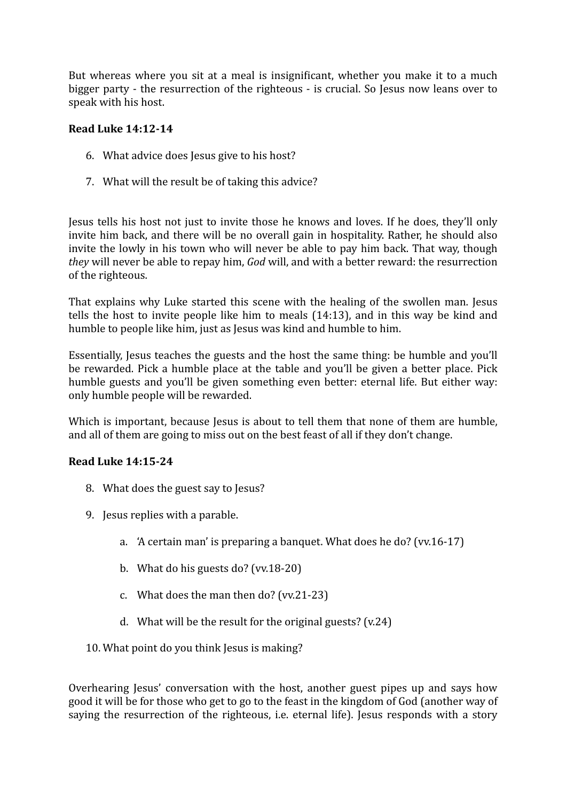But whereas where you sit at a meal is insignificant, whether you make it to a much bigger party - the resurrection of the righteous - is crucial. So Jesus now leans over to speak with his host.

#### **Read Luke 14:12-14**

- 6. What advice does Jesus give to his host?
- 7. What will the result be of taking this advice?

Jesus tells his host not just to invite those he knows and loves. If he does, they'll only invite him back, and there will be no overall gain in hospitality. Rather, he should also invite the lowly in his town who will never be able to pay him back. That way, though *they* will never be able to repay him, *God* will, and with a better reward: the resurrection of the righteous.

That explains why Luke started this scene with the healing of the swollen man. Jesus tells the host to invite people like him to meals  $(14:13)$ , and in this way be kind and humble to people like him, just as Jesus was kind and humble to him.

Essentially, Jesus teaches the guests and the host the same thing: be humble and you'll be rewarded. Pick a humble place at the table and you'll be given a better place. Pick humble guests and you'll be given something even better: eternal life. But either way: only humble people will be rewarded.

Which is important, because Jesus is about to tell them that none of them are humble, and all of them are going to miss out on the best feast of all if they don't change.

### **Read Luke 14:15-24**

- 8. What does the guest say to Jesus?
- 9. Jesus replies with a parable.
	- a. 'A certain man' is preparing a banquet. What does he do? (vv.16-17)
	- b. What do his guests do?  $(vv.18-20)$
	- c. What does the man then  $do? (vv.21-23)$
	- d. What will be the result for the original guests?  $(v.24)$
- 10. What point do you think Jesus is making?

Overhearing Jesus' conversation with the host, another guest pipes up and says how good it will be for those who get to go to the feast in the kingdom of God (another way of saying the resurrection of the righteous, i.e. eternal life). Jesus responds with a story